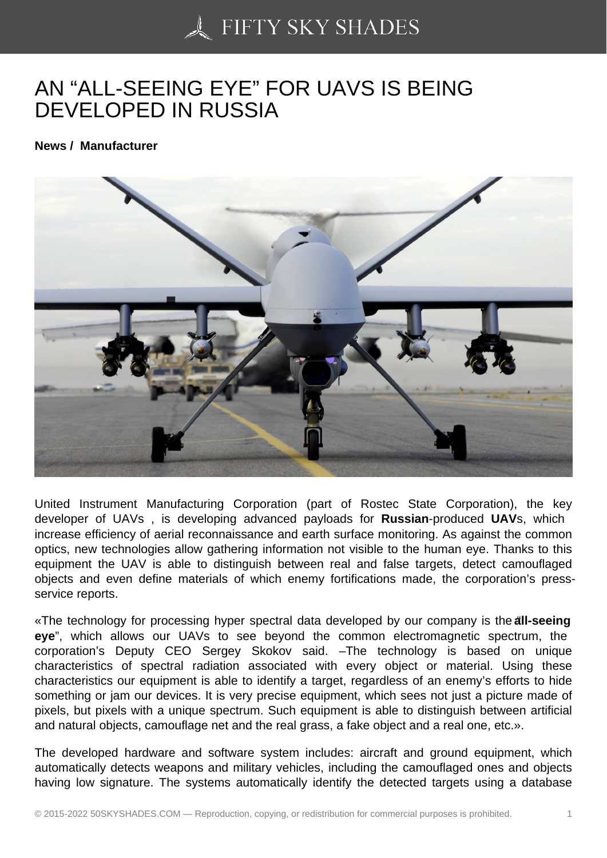## [AN "ALL-SEEING EYE](https://50skyshades.com)" FOR UAVS IS BEING DEVELOPED IN RUSSIA

News / Manufacturer

United Instrument Manufacturing Corporation (part of Rostec State Corporation), the key developer of UAVs , is developing advanced payloads for Russian -produced UAVs, which increase efficiency of aerial reconnaissance and earth surface monitoring. As against the common optics, new technologies allow gathering information not visible to the human eye. Thanks to this equipment the UAV is able to distinguish between real and false targets, detect camouflaged objects and even define materials of which enemy fortifications made, the corporation's pressservice reports.

«The technology for processing hyper spectral data developed by our company is the all-seeing eye", which allows our UAVs to see beyond the common electromagnetic spectrum, the corporation's Deputy CEO Sergey Skokov said. –The technology is based on unique characteristics of spectral radiation associated with every object or material. Using these characteristics our equipment is able to identify a target, regardless of an enemy's efforts to hide something or jam our devices. It is very precise equipment, which sees not just a picture made of pixels, but pixels with a unique spectrum. Such equipment is able to distinguish between artificial and natural objects, camouflage net and the real grass, a fake object and a real one, etc.».

The developed hardware and software system includes: aircraft and ground equipment, which automatically detects weapons and military vehicles, including the camouflaged ones and objects having low signature. The systems automatically identify the detected targets using a database